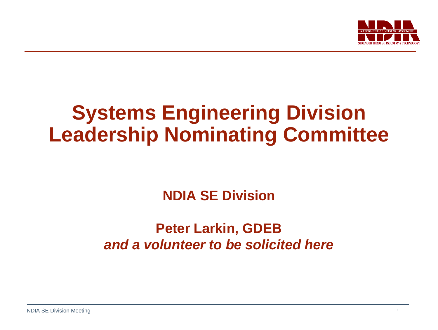

# **Systems Engineering Division Leadership Nominating Committee**

## **NDIA SE Division**

### **Peter Larkin, GDEB** *and a volunteer to be solicited here*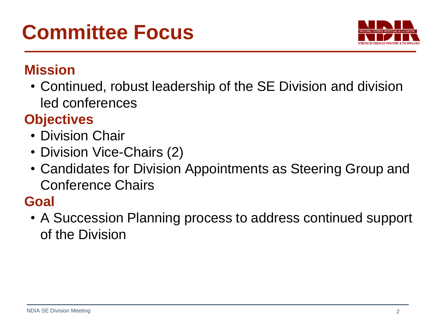

### **Mission**

• Continued, robust leadership of the SE Division and division led conferences

# **Objectives**

- Division Chair
- Division Vice-Chairs (2)
- Candidates for Division Appointments as Steering Group and Conference Chairs

# **Goal**

• A Succession Planning process to address continued support of the Division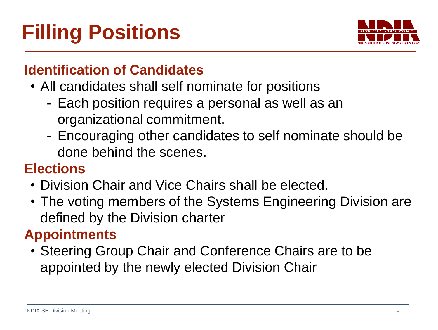

### **Identification of Candidates**

- All candidates shall self nominate for positions
	- Each position requires a personal as well as an organizational commitment.
	- Encouraging other candidates to self nominate should be done behind the scenes.

### **Elections**

- Division Chair and Vice Chairs shall be elected.
- The voting members of the Systems Engineering Division are defined by the Division charter

# **Appointments**

• Steering Group Chair and Conference Chairs are to be appointed by the newly elected Division Chair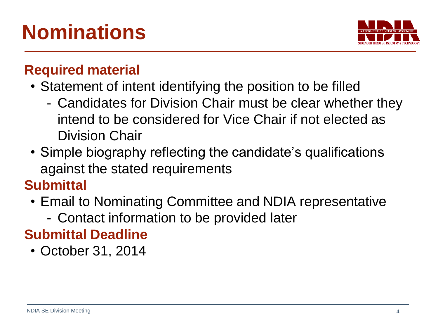

### **Required material**

- Statement of intent identifying the position to be filled
	- Candidates for Division Chair must be clear whether they intend to be considered for Vice Chair if not elected as Division Chair
- Simple biography reflecting the candidate's qualifications against the stated requirements

### **Submittal**

- Email to Nominating Committee and NDIA representative
	- Contact information to be provided later

# **Submittal Deadline**

• October 31, 2014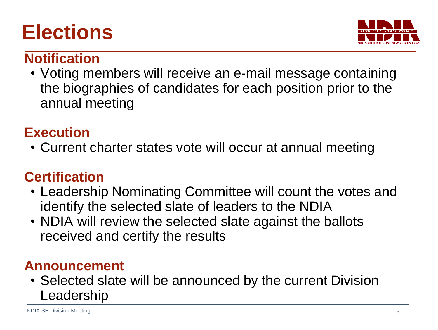# **Elections**



### **Notification**

• Voting members will receive an e-mail message containing the biographies of candidates for each position prior to the annual meeting

## **Execution**

• Current charter states vote will occur at annual meeting

### **Certification**

- Leadership Nominating Committee will count the votes and identify the selected slate of leaders to the NDIA
- NDIA will review the selected slate against the ballots received and certify the results

### **Announcement**

• Selected slate will be announced by the current Division Leadership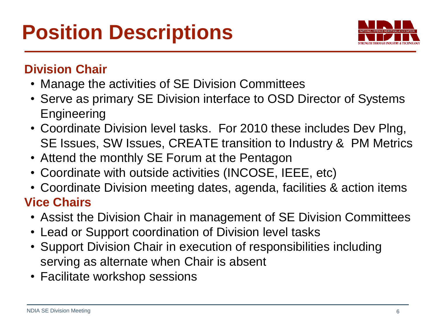

### **Division Chair**

- Manage the activities of SE Division Committees
- Serve as primary SE Division interface to OSD Director of Systems **Engineering**
- Coordinate Division level tasks. For 2010 these includes Dev Plng, SE Issues, SW Issues, CREATE transition to Industry & PM Metrics
- Attend the monthly SE Forum at the Pentagon
- Coordinate with outside activities (INCOSE, IEEE, etc)
- Coordinate Division meeting dates, agenda, facilities & action items **Vice Chairs**
	- Assist the Division Chair in management of SE Division Committees
	- Lead or Support coordination of Division level tasks
	- Support Division Chair in execution of responsibilities including serving as alternate when Chair is absent
	- Facilitate workshop sessions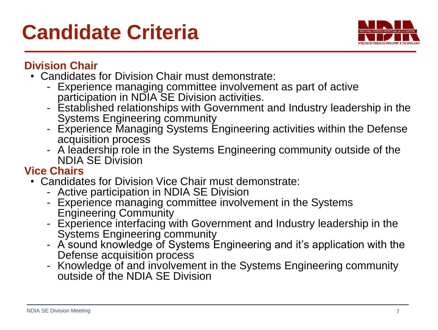

#### **Division Chair**

- Candidates for Division Chair must demonstrate:
	- Experience managing committee involvement as part of active participation in NDIA SE Division activities.
	- Established relationships with Government and Industry leadership in the Systems Engineering community
	- Experience Managing Systems Engineering activities within the Defense acquisition process
	- A leadership role in the Systems Engineering community outside of the NDIA SE Division

#### **Vice Chairs**

- Candidates for Division Vice Chair must demonstrate:
	- Active participation in NDIA SE Division
	- Experience managing committee involvement in the Systems Engineering Community
	- Experience interfacing with Government and Industry leadership in the Systems Engineering community
	- A sound knowledge of Systems Engineering and it's application with the Defense acquisition process
	- Knowledge of and involvement in the Systems Engineering community outside of the NDIA SE Division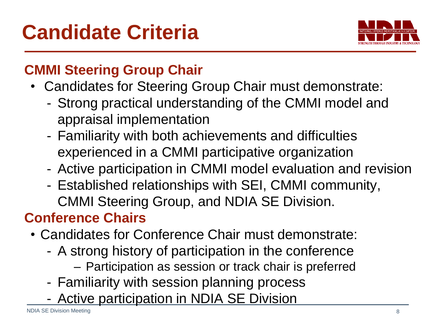

# **CMMI Steering Group Chair**

- Candidates for Steering Group Chair must demonstrate:
	- Strong practical understanding of the CMMI model and appraisal implementation
	- Familiarity with both achievements and difficulties experienced in a CMMI participative organization
	- Active participation in CMMI model evaluation and revision
	- Established relationships with SEI, CMMI community, CMMI Steering Group, and NDIA SE Division.

# **Conference Chairs**

- Candidates for Conference Chair must demonstrate:
	- A strong history of participation in the conference
		- Participation as session or track chair is preferred
	- Familiarity with session planning process
	- Active participation in NDIA SE Division